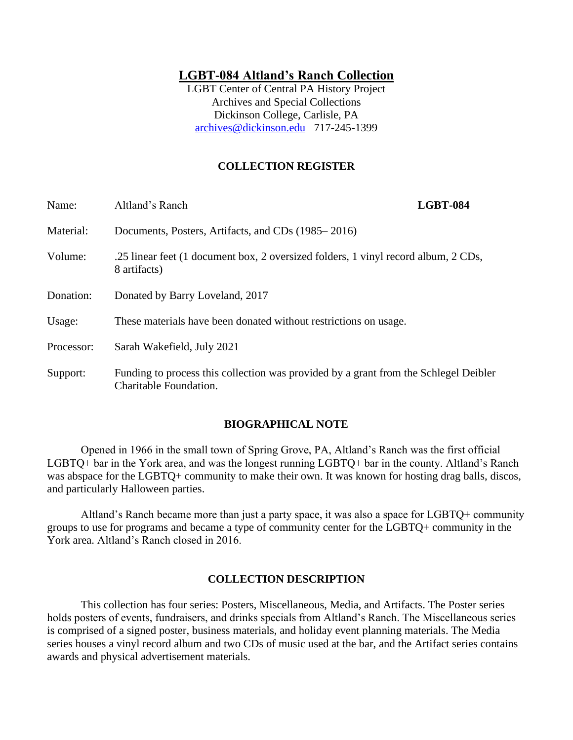# **LGBT-084 Altland's Ranch Collection**

LGBT Center of Central PA History Project Archives and Special Collections Dickinson College, Carlisle, PA [archives@dickinson.edu](mailto:archives@dickinson.edu) 717-245-1399

# **COLLECTION REGISTER**

| Name:      | Altland's Ranch                                                                                                | <b>LGBT-084</b> |
|------------|----------------------------------------------------------------------------------------------------------------|-----------------|
| Material:  | Documents, Posters, Artifacts, and CDs (1985–2016)                                                             |                 |
| Volume:    | .25 linear feet (1 document box, 2 oversized folders, 1 vinyl record album, 2 CDs,<br>8 artifacts)             |                 |
| Donation:  | Donated by Barry Loveland, 2017                                                                                |                 |
| Usage:     | These materials have been donated without restrictions on usage.                                               |                 |
| Processor: | Sarah Wakefield, July 2021                                                                                     |                 |
| Support:   | Funding to process this collection was provided by a grant from the Schlegel Deibler<br>Charitable Foundation. |                 |

#### **BIOGRAPHICAL NOTE**

Opened in 1966 in the small town of Spring Grove, PA, Altland's Ranch was the first official LGBTQ+ bar in the York area, and was the longest running LGBTQ+ bar in the county. Altland's Ranch was abspace for the LGBTQ+ community to make their own. It was known for hosting drag balls, discos, and particularly Halloween parties.

Altland's Ranch became more than just a party space, it was also a space for LGBTQ+ community groups to use for programs and became a type of community center for the LGBTQ+ community in the York area. Altland's Ranch closed in 2016.

#### **COLLECTION DESCRIPTION**

This collection has four series: Posters, Miscellaneous, Media, and Artifacts. The Poster series holds posters of events, fundraisers, and drinks specials from Altland's Ranch. The Miscellaneous series is comprised of a signed poster, business materials, and holiday event planning materials. The Media series houses a vinyl record album and two CDs of music used at the bar, and the Artifact series contains awards and physical advertisement materials.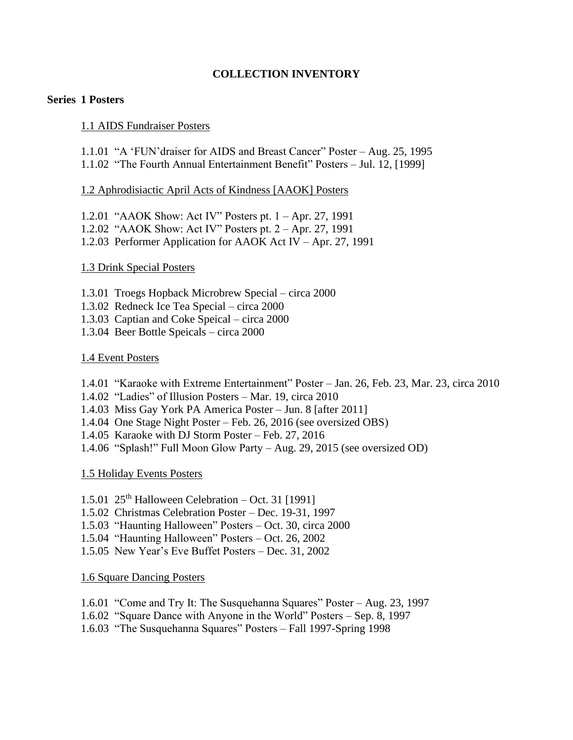# **COLLECTION INVENTORY**

### **Series 1 Posters**

### 1.1 AIDS Fundraiser Posters

1.1.01 "A 'FUN'draiser for AIDS and Breast Cancer" Poster – Aug. 25, 1995

1.1.02 "The Fourth Annual Entertainment Benefit" Posters – Jul. 12, [1999]

## 1.2 Aphrodisiactic April Acts of Kindness [AAOK] Posters

- 1.2.01 "AAOK Show: Act IV" Posters pt. 1 Apr. 27, 1991 1.2.02 "AAOK Show: Act IV" Posters pt. 2 – Apr. 27, 1991
- 1.2.03 Performer Application for AAOK Act IV Apr. 27, 1991

## 1.3 Drink Special Posters

- 1.3.01 Troegs Hopback Microbrew Special circa 2000
- 1.3.02 Redneck Ice Tea Special circa 2000
- 1.3.03 Captian and Coke Speical circa 2000
- 1.3.04 Beer Bottle Speicals circa 2000

## 1.4 Event Posters

- 1.4.01 "Karaoke with Extreme Entertainment" Poster Jan. 26, Feb. 23, Mar. 23, circa 2010
- 1.4.02 "Ladies" of Illusion Posters Mar. 19, circa 2010
- 1.4.03 Miss Gay York PA America Poster Jun. 8 [after 2011]
- 1.4.04 One Stage Night Poster Feb. 26, 2016 (see oversized OBS)
- 1.4.05 Karaoke with DJ Storm Poster Feb. 27, 2016
- 1.4.06 "Splash!" Full Moon Glow Party Aug. 29, 2015 (see oversized OD)

1.5 Holiday Events Posters

- 1.5.01  $25<sup>th</sup>$  Halloween Celebration Oct. 31 [1991]
- 1.5.02 Christmas Celebration Poster Dec. 19-31, 1997
- 1.5.03 "Haunting Halloween" Posters Oct. 30, circa 2000
- 1.5.04 "Haunting Halloween" Posters Oct. 26, 2002
- 1.5.05 New Year's Eve Buffet Posters Dec. 31, 2002

### 1.6 Square Dancing Posters

- 1.6.01 "Come and Try It: The Susquehanna Squares" Poster Aug. 23, 1997
- 1.6.02 "Square Dance with Anyone in the World" Posters Sep. 8, 1997
- 1.6.03 "The Susquehanna Squares" Posters Fall 1997-Spring 1998